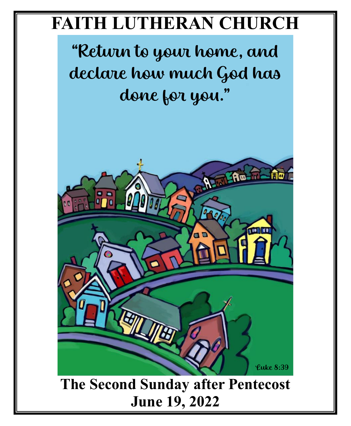# **FAITH LUTHERAN CHURCH**

"Return to your home, and declare how much God has done for you."

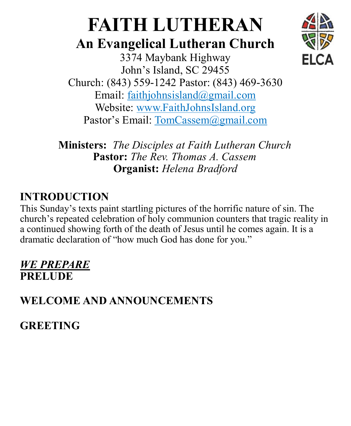# **FAITH LUTHERAN**

# **An Evangelical Lutheran Church**



3374 Maybank Highway John's Island, SC 29455 Church: (843) 559-1242 Pastor: (843) 469-3630 Email: faithjohnsisland@gmail.com Website: www.FaithJohnsIsland.org Pastor's Email: TomCassem@gmail.com

**Ministers:** *The Disciples at Faith Lutheran Church* **Pastor:** *The Rev. Thomas A. Cassem* **Organist:** *Helena Bradford*

# **INTRODUCTION**

This Sunday's texts paint startling pictures of the horrific nature of sin. The church's repeated celebration of holy communion counters that tragic reality in a continued showing forth of the death of Jesus until he comes again. It is a dramatic declaration of "how much God has done for you."

## *WE PREPARE* **PRELUDE**

**WELCOME AND ANNOUNCEMENTS** 

**GREETING**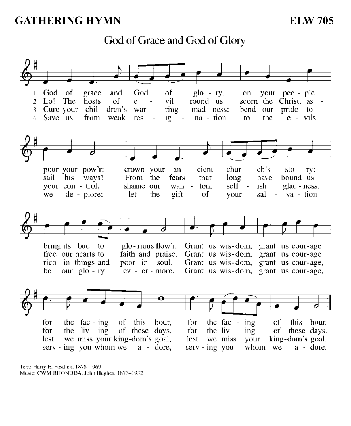#### **GATHERING HYMN**

**ELW 705** 

God of Grace and God of Glory



Text: Harry E. Fosdick, 1878-1969 Music: CWM RHONDDA, John Hughes, 1873-1932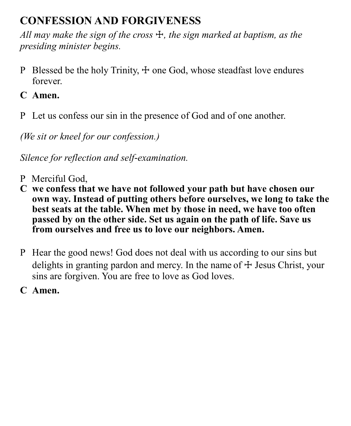# **CONFESSION AND FORGIVENESS**

*All may make the sign of the cross* ☩*, the sign marked at baptism, as the presiding minister begins.* 

- P Blessed be the holy Trinity,  $\pm$  one God, whose steadfast love endures forever.
- **C Amen.**
- P Let us confess our sin in the presence of God and of one another.

*(We sit or kneel for our confession.)*

*Silence for reflection and self-examination.*

- P Merciful God,
- **C we confess that we have not followed your path but have chosen our own way. Instead of putting others before ourselves, we long to take the best seats at the table. When met by those in need, we have too often passed by on the other side. Set us again on the path of life. Save us from ourselves and free us to love our neighbors. Amen.**
- P Hear the good news! God does not deal with us according to our sins but delights in granting pardon and mercy. In the name of  $\pm$  Jesus Christ, your sins are forgiven. You are free to love as God loves.
- **C Amen.**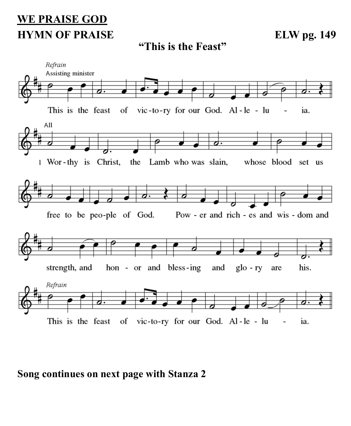# **WE PRAISE GOD HYMN OF PRAISE** ELW pg. 149

**"This is the Feast"**



#### **Song continues on next page with Stanza 2**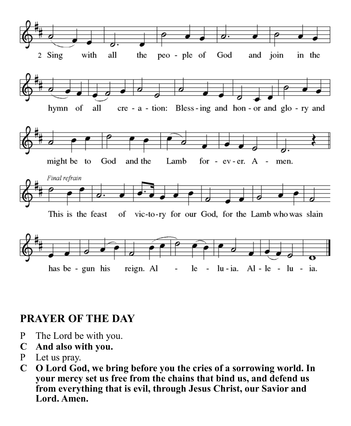

#### **PRAYER OF THE DAY**

- P The Lord be with you.
- **C And also with you.**
- P Let us pray.
- **C O Lord God, we bring before you the cries of a sorrowing world. In your mercy set us free from the chains that bind us, and defend us from everything that is evil, through Jesus Christ, our Savior and Lord. Amen.**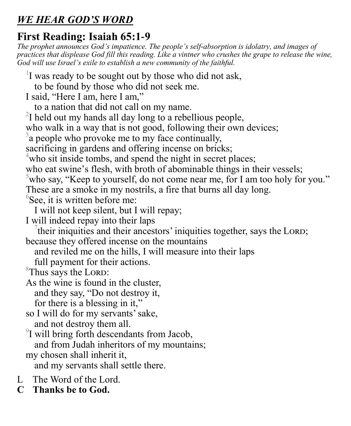# *WE HEAR GOD'S WORD*

# **First Reading: Isaiah 65:1-9**

*The prophet announces God's impatience. The people's self-absorption is idolatry, and images of practices that displease God fill this reading. Like a vintner who crushes the grape to release the wine, God will use Israel's exile to establish a new community of the faithful.*

<sup>1</sup>I was ready to be sought out by those who did not ask,

to be found by those who did not seek me.

I said, "Here I am, here I am,"

to a nation that did not call on my name.

 $2I$  held out my hands all day long to a rebellious people,

who walk in a way that is not good, following their own devices;

 $3a$  people who provoke me to my face continually,

sacrificing in gardens and offering incense on bricks;

<sup>4</sup>who sit inside tombs, and spend the night in secret places;

who eat swine's flesh, with broth of abominable things in their vessels;

<sup>5</sup>who say, "Keep to yourself, do not come near me, for I am too holy for you."

These are a smoke in my nostrils, a fire that burns all day long.

 $6$ See, it is written before me:

I will not keep silent, but I will repay;

I will indeed repay into their laps

 $\sigma$  their iniquities and their ancestors' iniquities together, says the LORD; because they offered incense on the mountains

and reviled me on the hills, I will measure into their laps

full payment for their actions.

 $8$ Thus says the LORD:

As the wine is found in the cluster, and they say, "Do not destroy it, for there is a blessing in it,"

so I will do for my servants' sake, and not destroy them all.

 $9$ I will bring forth descendants from Jacob, and from Judah inheritors of my mountains;

my chosen shall inherit it,

and my servants shall settle there.

- L The Word of the Lord.
- **C Thanks be to God.**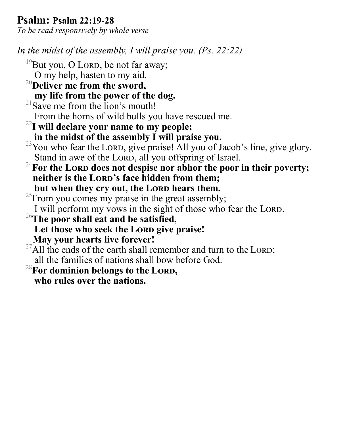#### **Psalm: Psalm 22:19-28**

*To be read responsively by whole verse*

*In the midst of the assembly, I will praise you. (Ps. 22:22)*

- <sup>19</sup>But you, O LORD, be not far away;
	- O my help, hasten to my aid.
- <sup>20</sup>**Deliver me from the sword, my life from the power of the dog.**
- $21$ Save me from the lion's mouth!
- From the horns of wild bulls you have rescued me.
- <sup>22</sup>**I will declare your name to my people; in the midst of the assembly I will praise you.**
- <sup>23</sup>You who fear the LORD, give praise! All you of Jacob's line, give glory. Stand in awe of the LORD, all you offspring of Israel.
- <sup>24</sup>For the LORD does not despise nor abhor the poor in their poverty; neither is the LORD's face hidden from them: but when they cry out, the LORD hears them.
- $^{25}$ From you comes my praise in the great assembly; I will perform my vows in the sight of those who fear the LORD.
- <sup>26</sup>**The poor shall eat and be satisfied,** Let those who seek the LORD give praise! **May your hearts live forever!**
- $^{27}$ All the ends of the earth shall remember and turn to the LORD; all the families of nations shall bow before God.
- <sup>28</sup>**For dominion belongs to the Lord, who rules over the nations.**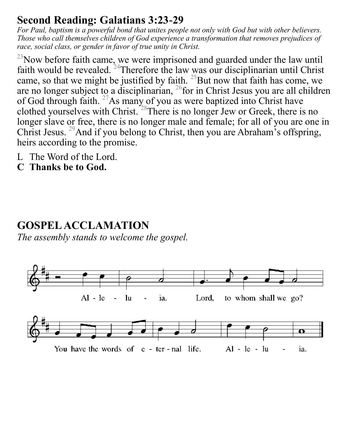### **Second Reading: Galatians 3:23-29**

*For Paul, baptism is a powerful bond that unites people not only with God but with other believers. Those who call themselves children of God experience a transformation that removes prejudices of race, social class, or gender in favor of true unity in Christ.*

 $^{23}$ Now before faith came, we were imprisoned and guarded under the law until faith would be revealed. <sup>24</sup>Therefore the law was our disciplinarian until Christ came, so that we might be justified by faith.  $^{25}$ But now that faith has come, we are no longer subject to a disciplinarian,  $^{26}$  for in Christ Jesus you are all children of God through faith. <sup>27</sup>As many of you as were baptized into Christ have clothed yourselves with Christ. <sup>28</sup>There is no longer Jew or Greek, there is no longer slave or free, there is no longer male and female; for all of you are one in Christ Jesus. <sup>29</sup>And if you belong to Christ, then you are Abraham's offspring, heirs according to the promise.

- L The Word of the Lord.
- **C Thanks be to God.**

# **GOSPEL ACCLAMATION**

*The assembly stands to welcome the gospel.* 

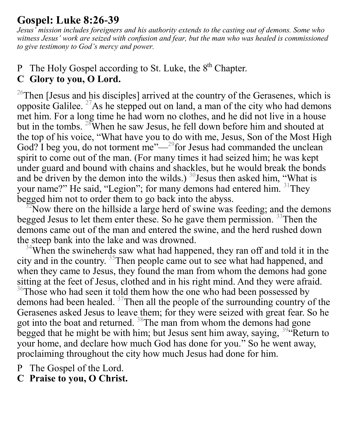### **Gospel: Luke 8:26-39**

*Jesus' mission includes foreigners and his authority extends to the casting out of demons. Some who witness Jesus' work are seized with confusion and fear, but the man who was healed is commissioned to give testimony to God's mercy and power.*

#### P The Holy Gospel according to St. Luke, the  $8<sup>th</sup>$  Chapter. **C Glory to you, O Lord.**

<sup>26</sup>Then [Jesus and his disciples] arrived at the country of the Gerasenes, which is opposite Galilee.  $^{27}$ As he stepped out on land, a man of the city who had demons met him. For a long time he had worn no clothes, and he did not live in a house but in the tombs. <sup>28</sup>When he saw Jesus, he fell down before him and shouted at the top of his voice, "What have you to do with me, Jesus, Son of the Most High God? I beg you, do not torment me"— $^{29}$  for Jesus had commanded the unclean spirit to come out of the man. (For many times it had seized him; he was kept under guard and bound with chains and shackles, but he would break the bonds and be driven by the demon into the wilds.)  $30$  Jesus then asked him, "What is your name?" He said, "Legion"; for many demons had entered him. <sup>31</sup>They begged him not to order them to go back into the abyss.

 $2^{\circ}$ Now there on the hillside a large herd of swine was feeding; and the demons begged Jesus to let them enter these. So he gave them permission.<sup>33</sup>Then the demons came out of the man and entered the swine, and the herd rushed down the steep bank into the lake and was drowned.

 $34$ When the swineherds saw what had happened, they ran off and told it in the city and in the country. <sup>35</sup>Then people came out to see what had happened, and when they came to Jesus, they found the man from whom the demons had gone sitting at the feet of Jesus, clothed and in his right mind. And they were afraid.  $36$ Those who had seen it told them how the one who had been possessed by demons had been healed.  $37$ Then all the people of the surrounding country of the Gerasenes asked Jesus to leave them; for they were seized with great fear. So he got into the boat and returned. <sup>38</sup>The man from whom the demons had gone begged that he might be with him; but Jesus sent him away, saying,  $394$ . Return to your home, and declare how much God has done for you." So he went away, proclaiming throughout the city how much Jesus had done for him.

P The Gospel of the Lord.

**C Praise to you, O Christ.**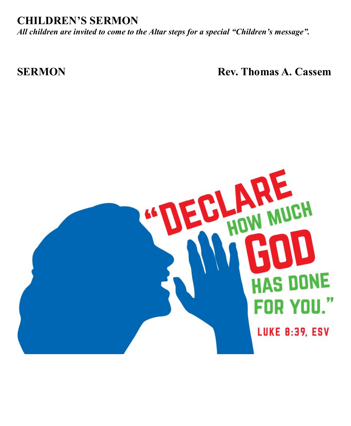#### **CHILDREN'S SERMON**

*All children are invited to come to the Altar steps for a special "Children's message".*

**SERMON** Rev. Thomas A. Cassem

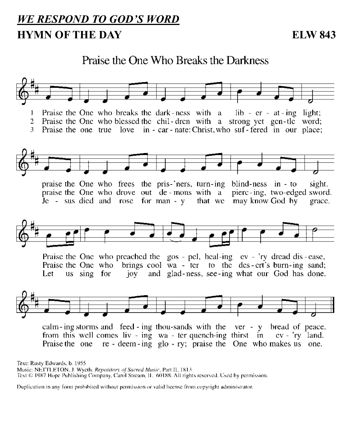# *WE RESPOND TO GOD 'S WORD* **HYMN OF THE DAY** ELW 843

#### Praise the One Who Breaks the Darkness



Text: Rusty Edwards, b. 1955

Music: NETTLETON, J. Wyeth. Repository of Sacred Music, Part II, 1813

Text © 1987 Hope Publishing Company, Carol Stream, II. 60188. All rights reserved. Used by permission.

Duplication in any form prohibited without permission or valid license from copyright administrator.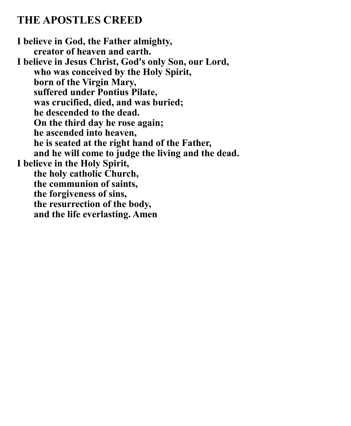#### **THE APOSTLES CREED**

**I believe in God, the Father almighty, creator of heaven and earth. I believe in Jesus Christ, God's only Son, our Lord, who was conceived by the Holy Spirit, born of the Virgin Mary, suffered under Pontius Pilate, was crucified, died, and was buried; he descended to the dead. On the third day he rose again; he ascended into heaven, he is seated at the right hand of the Father, and he will come to judge the living and the dead. I believe in the Holy Spirit, the holy catholic Church, the communion of saints, the forgiveness of sins, the resurrection of the body, and the life everlasting. Amen**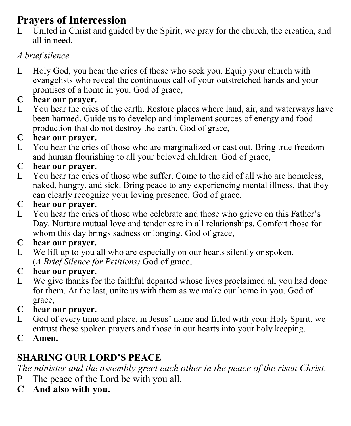# **Prayers of Intercession**

L United in Christ and guided by the Spirit, we pray for the church, the creation, and all in need.

#### *A brief silence.*

L Holy God, you hear the cries of those who seek you. Equip your church with evangelists who reveal the continuous call of your outstretched hands and your promises of a home in you. God of grace,

#### **C hear our prayer.**

L You hear the cries of the earth. Restore places where land, air, and waterways have been harmed. Guide us to develop and implement sources of energy and food production that do not destroy the earth. God of grace,

#### **C hear our prayer.**

L You hear the cries of those who are marginalized or cast out. Bring true freedom and human flourishing to all your beloved children. God of grace,

#### **C hear our prayer.**

L You hear the cries of those who suffer. Come to the aid of all who are homeless, naked, hungry, and sick. Bring peace to any experiencing mental illness, that they can clearly recognize your loving presence. God of grace,

#### **C hear our prayer.**

L You hear the cries of those who celebrate and those who grieve on this Father's Day. Nurture mutual love and tender care in all relationships. Comfort those for whom this day brings sadness or longing. God of grace,

#### **C hear our prayer.**

L We lift up to you all who are especially on our hearts silently or spoken. (*A Brief Silence for Petitions)* God of grace,

#### **C hear our prayer.**

L We give thanks for the faithful departed whose lives proclaimed all you had done for them. At the last, unite us with them as we make our home in you. God of grace,

#### **C hear our prayer.**

- L God of every time and place, in Jesus' name and filled with your Holy Spirit, we entrust these spoken prayers and those in our hearts into your holy keeping.
- **C Amen.**

# **SHARING OUR LORD'S PEACE**

*The minister and the assembly greet each other in the peace of the risen Christ.*

- P The peace of the Lord be with you all.
- **C And also with you.**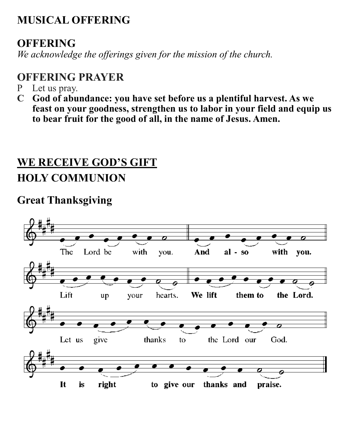# **MUSICAL OFFERING**

# **OFFERING**

*We acknowledge the offerings given for the mission of the church.*

# **OFFERING PRAYER**

- P Let us pray.
- **C God of abundance: you have set before us a plentiful harvest. As we feast on your goodness, strengthen us to labor in your field and equip us to bear fruit for the good of all, in the name of Jesus. Amen.**

# **WE RECEIVE GOD'S GIFT HOLY COMMUNION**

# **Great Thanksgiving**

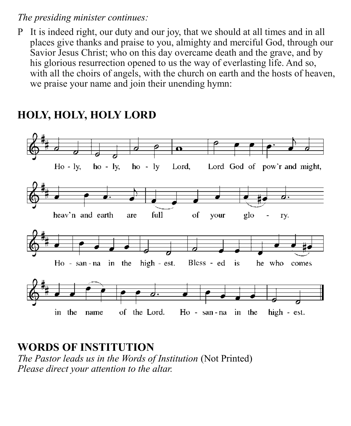#### *The presiding minister continues:*

P It is indeed right, our duty and our joy, that we should at all times and in all places give thanks and praise to you, almighty and merciful God, through our Savior Jesus Christ; who on this day overcame death and the grave, and by his glorious resurrection opened to us the way of everlasting life. And so, with all the choirs of angels, with the church on earth and the hosts of heaven, we praise your name and join their unending hymn:



### **HOLY, HOLY, HOLY LORD**

**WORDS OF INSTITUTION** *The Pastor leads us in the Words of Institution* (Not Printed) *Please direct your attention to the altar.*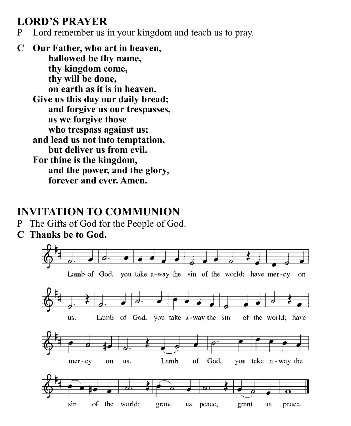# **LORD'S PRAYER**

P Lord remember us in your kingdom and teach us to pray.

**C Our Father, who art in heaven, hallowed be thy name, thy kingdom come, thy will be done, on earth as it is in heaven. Give us this day our daily bread; and forgive us our trespasses, as we forgive those who trespass against us; and lead us not into temptation, but deliver us from evil. For thine is the kingdom, and the power, and the glory, forever and ever. Amen.**

# **INVITATION TO COMMUNION**

- P The Gifts of God for the People of God.
- **C Thanks be to God.**

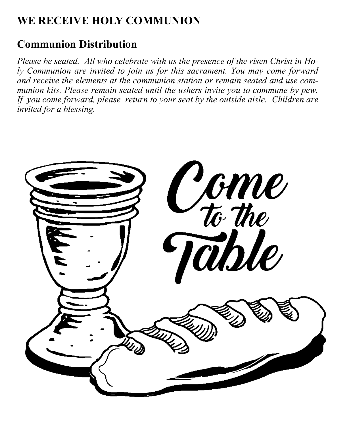# **WE RECEIVE HOLY COMMUNION**

# **Communion Distribution**

*Please be seated. All who celebrate with us the presence of the risen Christ in Holy Communion are invited to join us for this sacrament. You may come forward and receive the elements at the communion station or remain seated and use communion kits. Please remain seated until the ushers invite you to commune by pew. If you come forward, please return to your seat by the outside aisle. Children are invited for a blessing.*

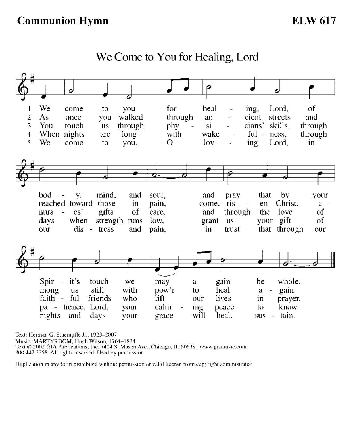#### We  $\sigma$ f for heal Lord,  $\mathbf{I}$ come to you  $ing.$  $\overline{a}$ walked through  $\overline{2}$  $As$ cient streets and once you an 3 through skills. through You touch phy si cians' **us** When nights through with wake  $ful \overline{4}$ long ness. are  $\overline{a}$ 5 Wc Ο  $10v$ ing come to you, Lord, in A mind. bod у. and soul, and pray that by your reached toward those pain, come, ris en Christ.  $in$  $a \text{cs}^*$ love  $\sigma f$ gifts the nurs of care, and through your gift when οf days strength runs low. grant **us** our dis  $\sim$ tress and pain, in trust that through our it's Spir touch we gain be whole.  $\overline{a}$ may a still with gain. mong **us** pow'r heal to a friends faith ful who lift lives our in prayer. pa - tience, Lord, calm ing know. your peace to nights and days your grace will heal. sus. - tain.

We Come to You for Healing, Lord

Text: Herman G. Stuempfle Jr., 1923-2007 Music: MARTYRDOM, Hugh Wilson, 1764–1824<br>Text © 2002 GIA Publications, Inc. 7404 S. Mason Ave., Chicago, IL 60638. www.giamusic.com 800.442.3358 All rights reserved. Used by permission.

Duplication in any form prohibited without permission or valid license from copyright administrator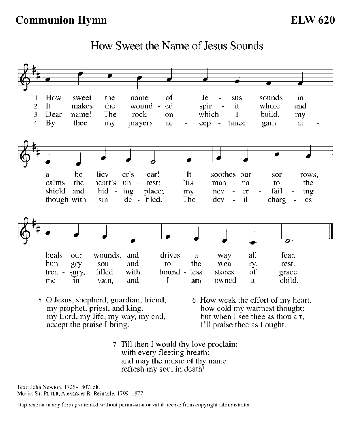#### **Communion Hymn**

**ELW 620** 



How Sweet the Name of Jesus Sounds

- 5 O Jesus, shepherd, guardian, friend, my prophet, priest, and king, my Lord, my life, my way, my end, accept the praise I bring.
- 6 How weak the effort of my heart, how cold my warmest thought; but when I see thee as thou art, I'll praise thee as I ought.
- 7 Till then I would thy love proclaim with every fleeting breath; and may the music of thy name refresh my soul in death!

Text: John Newton, 1725-1807, alt. Music: S1. PETER, Alexander R. Reinagle, 1799-1877

Duplication in any form prohibited without permission or valid license from copyright administrator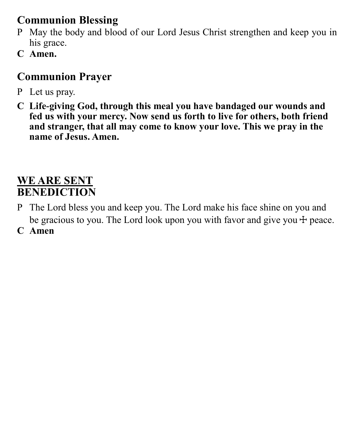# **Communion Blessing**

- P May the body and blood of our Lord Jesus Christ strengthen and keep you in his grace.
- **C Amen.**

# **Communion Prayer**

- P Let us pray.
- **C Life-giving God, through this meal you have bandaged our wounds and fed us with your mercy. Now send us forth to live for others, both friend and stranger, that all may come to know your love. This we pray in the name of Jesus. Amen.**

# **WE ARE SENT BENEDICTION**

- P The Lord bless you and keep you. The Lord make his face shine on you and be gracious to you. The Lord look upon you with favor and give you  $+$  peace.
- **C Amen**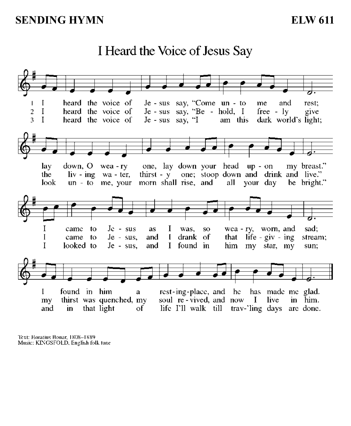#### heard the voice of Je - sus say, "Come un - to  $\mathbf{I}$ and me rest:  $\overline{\phantom{a}}$ heard the voice of  $Je - sus say, "Be - hold, I$  $\mathbf{I}$  $\overline{2}$  $free - ly$ give heard the voice of  $Je - sus - sav, 'I$ am this dark world's light;  $\overline{\mathbf{a}}$  $\mathbf{I}$ one, lay down your head up - on down,  $O$  wea - ry my breast." lay thirst - y one; stoop down and drink and live."  $\ln v$  -  $\ln g$  wa - ter, the  $un - to me$ , your morn shall rise, and all your day be bright."  $look$ I  $Jc - sus$ I sad: came to as was,  $SO$  $wca - ry$ , worn, and drank of life - giv - ing  $\mathbf I$ came to  $Je - sus$ . and  $\mathbf I$ that stream; T looked to and  $\mathbf{I}$ found in him star, mv  $Je - sus$ , my sun: found in him rest-ing-place, and he has made me glad.  $\bf{I}$ a thirst was quenched, my soul re-vived, and now I live in him. my that light life I'll walk till trav-'ling days are done. and  $\mathbf{in}$ оf

I Heard the Voice of Jesus Say

Text: Horatius Bonar, 1808-1889 Music: KINGSFOLD, English folk tune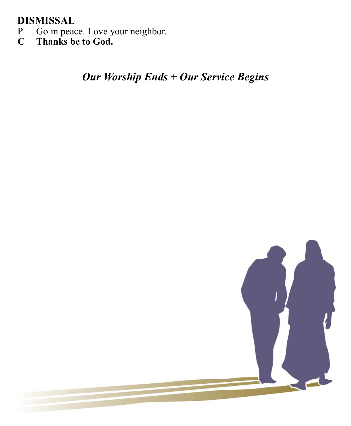#### **DISMISSAL**

- P Go in peace. Love your neighbor.
- **C Thanks be to God.**

*Our Worship Ends + Our Service Begins*